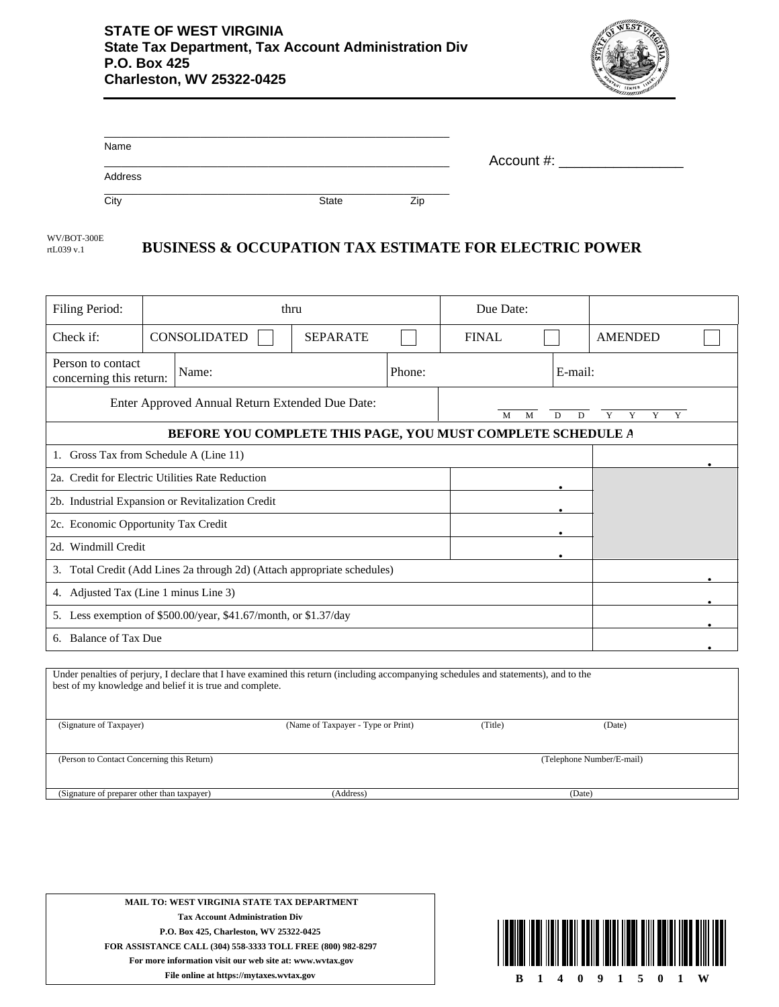

| Name    |       |     |            |
|---------|-------|-----|------------|
|         |       |     | Account #: |
| Address |       |     |            |
| City    | State | Zip |            |

**BUSINESS & OCCUPATION TAX ESTIMATE FOR ELECTRIC POWER** WV/BOT-300E rtL039 v.1

| Filing Period:                                                                                                                                                                                   | thru                                   |                                    | Due Date:                 |              |         |                               |  |
|--------------------------------------------------------------------------------------------------------------------------------------------------------------------------------------------------|----------------------------------------|------------------------------------|---------------------------|--------------|---------|-------------------------------|--|
| Check if:                                                                                                                                                                                        | <b>CONSOLIDATED</b>                    | <b>SEPARATE</b>                    |                           | <b>FINAL</b> |         | <b>AMENDED</b>                |  |
| Person to contact<br>concerning this return:                                                                                                                                                     | Name:                                  |                                    | Phone:                    |              | E-mail: |                               |  |
| Enter Approved Annual Return Extended Due Date:<br>M<br>D<br>D<br>M                                                                                                                              |                                        |                                    |                           |              |         | $\overline{Y}$<br>Y<br>Y<br>Y |  |
| BEFORE YOU COMPLETE THIS PAGE, YOU MUST COMPLETE SCHEDULE A                                                                                                                                      |                                        |                                    |                           |              |         |                               |  |
|                                                                                                                                                                                                  | 1. Gross Tax from Schedule A (Line 11) |                                    |                           |              |         |                               |  |
| 2a. Credit for Electric Utilities Rate Reduction                                                                                                                                                 |                                        |                                    |                           |              |         |                               |  |
| 2b. Industrial Expansion or Revitalization Credit                                                                                                                                                |                                        |                                    |                           |              |         |                               |  |
| 2c. Economic Opportunity Tax Credit                                                                                                                                                              |                                        |                                    |                           |              |         |                               |  |
| 2d. Windmill Credit                                                                                                                                                                              |                                        |                                    |                           |              |         |                               |  |
| 3. Total Credit (Add Lines 2a through 2d) (Attach appropriate schedules)                                                                                                                         |                                        |                                    |                           |              |         |                               |  |
| 4. Adjusted Tax (Line 1 minus Line 3)                                                                                                                                                            |                                        |                                    |                           |              |         |                               |  |
| 5. Less exemption of \$500.00/year, \$41.67/month, or \$1.37/day                                                                                                                                 |                                        |                                    |                           |              |         |                               |  |
| 6. Balance of Tax Due                                                                                                                                                                            |                                        |                                    |                           |              |         |                               |  |
|                                                                                                                                                                                                  |                                        |                                    |                           |              |         |                               |  |
| Under penalties of perjury, I declare that I have examined this return (including accompanying schedules and statements), and to the<br>best of my knowledge and belief it is true and complete. |                                        |                                    |                           |              |         |                               |  |
| (Signature of Taxpayer)                                                                                                                                                                          |                                        | (Name of Taxpayer - Type or Print) |                           | (Title)      |         | (Date)                        |  |
| (Person to Contact Concerning this Return)                                                                                                                                                       |                                        |                                    | (Telephone Number/E-mail) |              |         |                               |  |

(Signature of preparer other than taxpayer)

(Address)

**MAIL TO: WEST VIRGINIA STATE TAX DEPARTMENT Tax Account Administration Div P.O. Box 425, Charleston, WV 25322-0425 FOR ASSISTANCE CALL (304) 558-3333 TOLL FREE (800) 982-8297 For more information visit our web site at: www.wvtax.gov**



(Date)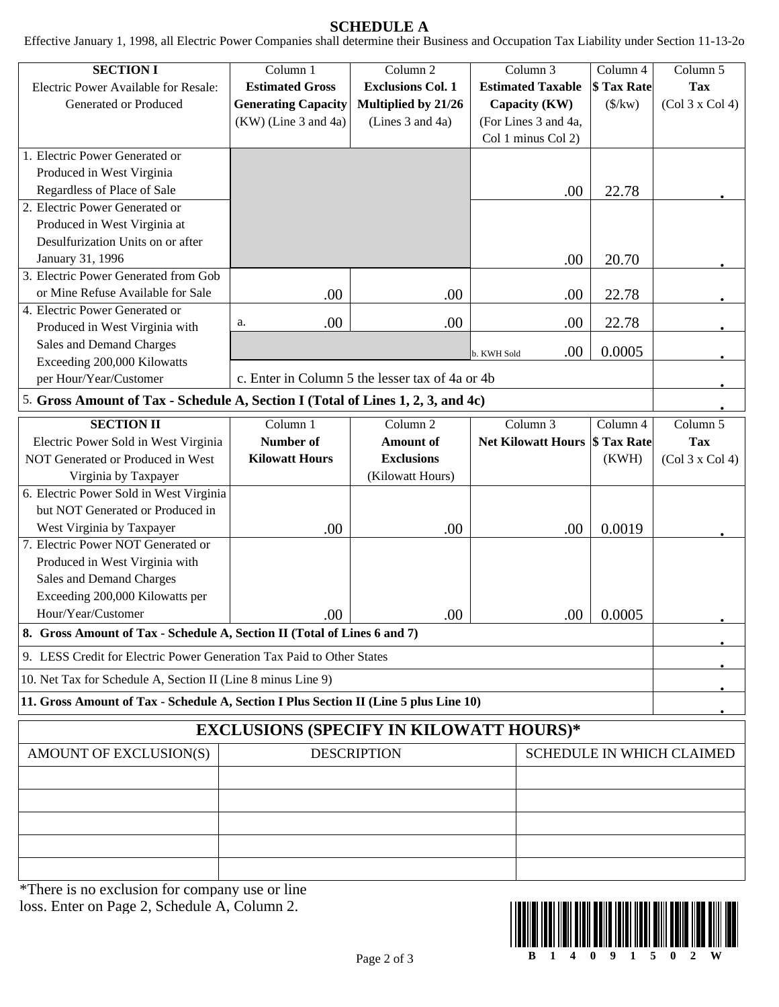## **SCHEDULE A**

Effective January 1, 1998, all Electric Power Companies shall determine their Business and Occupation Tax Liability under Section 11-13-2o

| <b>SECTION I</b>                                                                      | Column 1                                       | Column 2                                        | Column 3                  | Column 4           | Column 5                         |
|---------------------------------------------------------------------------------------|------------------------------------------------|-------------------------------------------------|---------------------------|--------------------|----------------------------------|
| Electric Power Available for Resale:                                                  | <b>Estimated Gross</b>                         | <b>Exclusions Col. 1</b>                        | <b>Estimated Taxable</b>  | \$ Tax Rate        | <b>Tax</b>                       |
| Generated or Produced                                                                 | <b>Generating Capacity</b>                     | Multiplied by 21/26                             | Capacity (KW)             | $(\frac{f}{k}$     | (Col 3 x Col 4)                  |
|                                                                                       | (KW) (Line 3 and 4a)                           | (Lines 3 and 4a)                                | (For Lines 3 and 4a,      |                    |                                  |
| 1. Electric Power Generated or                                                        |                                                |                                                 | Col 1 minus Col 2)        |                    |                                  |
| Produced in West Virginia                                                             |                                                |                                                 |                           |                    |                                  |
| Regardless of Place of Sale                                                           |                                                |                                                 |                           |                    |                                  |
| 2. Electric Power Generated or                                                        |                                                |                                                 | .00                       | 22.78              |                                  |
| Produced in West Virginia at                                                          |                                                |                                                 |                           |                    |                                  |
| Desulfurization Units on or after                                                     |                                                |                                                 |                           |                    |                                  |
| January 31, 1996                                                                      |                                                |                                                 | .00                       | 20.70              |                                  |
| 3. Electric Power Generated from Gob                                                  |                                                |                                                 |                           |                    |                                  |
| or Mine Refuse Available for Sale                                                     | .00                                            | .00                                             | .00.                      | 22.78              |                                  |
| 4. Electric Power Generated or                                                        |                                                |                                                 |                           |                    |                                  |
| Produced in West Virginia with                                                        | .00<br>a.                                      | .00                                             | .00                       | 22.78              |                                  |
| Sales and Demand Charges                                                              |                                                |                                                 |                           |                    |                                  |
| Exceeding 200,000 Kilowatts                                                           |                                                |                                                 | .00.<br>b. KWH Sold       | 0.0005             |                                  |
| per Hour/Year/Customer                                                                |                                                | c. Enter in Column 5 the lesser tax of 4a or 4b |                           |                    |                                  |
| 5. Gross Amount of Tax - Schedule A, Section I (Total of Lines 1, 2, 3, and 4c)       |                                                |                                                 |                           |                    |                                  |
| <b>SECTION II</b>                                                                     | Column 1                                       | Column <sub>2</sub>                             | Column 3                  | Column 4           | Column 5                         |
| Electric Power Sold in West Virginia                                                  | <b>Number of</b>                               | <b>Amount</b> of                                | <b>Net Kilowatt Hours</b> | <b>\$ Tax Rate</b> | <b>Tax</b>                       |
| NOT Generated or Produced in West                                                     | <b>Kilowatt Hours</b>                          | <b>Exclusions</b>                               |                           | (KWH)              | (Col 3 x Col 4)                  |
| Virginia by Taxpayer                                                                  |                                                | (Kilowatt Hours)                                |                           |                    |                                  |
| 6. Electric Power Sold in West Virginia                                               |                                                |                                                 |                           |                    |                                  |
| but NOT Generated or Produced in                                                      |                                                |                                                 |                           |                    |                                  |
| West Virginia by Taxpayer                                                             | .00                                            | .00                                             | .00                       | 0.0019             |                                  |
| 7. Electric Power NOT Generated or                                                    |                                                |                                                 |                           |                    |                                  |
| Produced in West Virginia with                                                        |                                                |                                                 |                           |                    |                                  |
| Sales and Demand Charges                                                              |                                                |                                                 |                           |                    |                                  |
| Exceeding 200,000 Kilowatts per                                                       |                                                |                                                 |                           |                    |                                  |
| Hour/Year/Customer                                                                    | .00                                            | .00                                             | .00                       | 0.0005             |                                  |
| 8. Gross Amount of Tax - Schedule A, Section II (Total of Lines 6 and 7)              |                                                |                                                 |                           |                    |                                  |
| 9. LESS Credit for Electric Power Generation Tax Paid to Other States                 |                                                |                                                 |                           |                    |                                  |
| 10. Net Tax for Schedule A, Section II (Line 8 minus Line 9)                          |                                                |                                                 |                           |                    |                                  |
| 11. Gross Amount of Tax - Schedule A, Section I Plus Section II (Line 5 plus Line 10) |                                                |                                                 |                           |                    |                                  |
|                                                                                       | <b>EXCLUSIONS (SPECIFY IN KILOWATT HOURS)*</b> |                                                 |                           |                    |                                  |
| AMOUNT OF EXCLUSION(S)                                                                |                                                | <b>DESCRIPTION</b>                              |                           |                    | <b>SCHEDULE IN WHICH CLAIMED</b> |
|                                                                                       |                                                |                                                 |                           |                    |                                  |
|                                                                                       |                                                |                                                 |                           |                    |                                  |
|                                                                                       |                                                |                                                 |                           |                    |                                  |
|                                                                                       |                                                |                                                 |                           |                    |                                  |
|                                                                                       |                                                |                                                 |                           |                    |                                  |
|                                                                                       |                                                |                                                 |                           |                    |                                  |

\*There is no exclusion for company use or line loss. Enter on Page 2, Schedule A, Column 2.